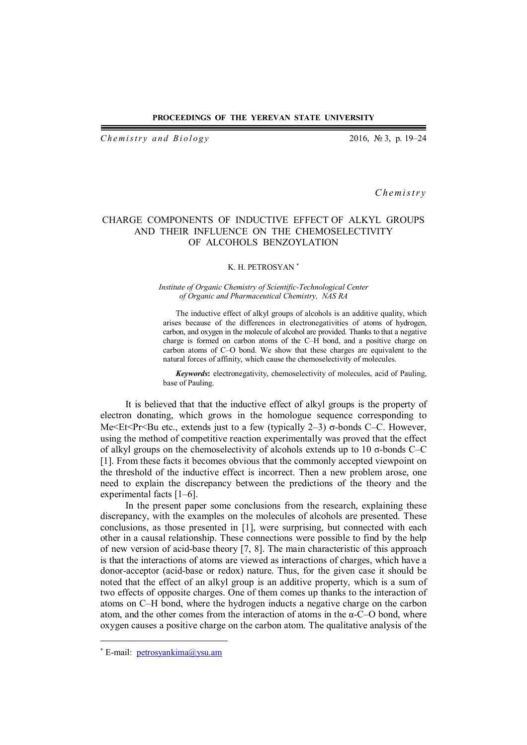#### **PROCEEDINGS OF THE YEREVAN STATE UNIVERSITY**

*Chemistry and Biology* 2016, № 3, p. 19–24

*C h em i s t r y*

# CHARGE COMPONENTS OF INDUCTIVE EFFECT OF ALKYL GROUPS AND THEIR INFLUENCE ON THE CHEMOSELECTIVITY OF ALCOHOLS BENZOYLATION

## K. H. PETROSYAN

## *Institute of Organic Chemistry of Scientific-Technological Center of Organic and Pharmaceutical Chemistry, NAS RA*

The inductive effect of alkyl groups of alcohols is an additive quality, which arises because of the differences in electronegativities of atoms of hydrogen, carbon, and oxygen in the molecule of alcohol are provided. Thanks to that a negative charge is formed on carbon atoms of the C–H bond, and a positive charge on carbon atoms of C–O bond. We show that these charges are equivalent to the natural forces of affinity, which cause the chemoselectivity of molecules.

*Keywords***:** electronegativity, chemoselectivity of molecules, acid of Pauling, base of Pauling.

It is believed that that the inductive effect of alkyl groups is the property of electron donating, which grows in the homologue sequence corresponding to Me<Et<Pr<br/>summersion of the step of the etc. However, the step of the SEC-C. However, using the method of competitive reaction experimentally was proved that the effect of alkyl groups on the chemoselectivity of alcohols extends up to 10 σ-bonds C–C [1]. From these facts it becomes obvious that the commonly accepted viewpoint on the threshold of the inductive effect is incorrect. Then a new problem arose, one need to explain the discrepancy between the predictions of the theory and the experimental facts [1–6].

In the present paper some conclusions from the research, explaining these discrepancy, with the examples on the molecules of alcohols are presented. These conclusions, as those presented in [1], were surprising, but connected with each other in a causal relationship. These connections were possible to find by the help of new version of acid-base theory [7, 8]. The main characteristic of this approach is that the interactions of atoms are viewed as interactions of charges, which have a donor-acceptor (acid-base or redox) nature. Thus, for the given case it should be noted that the effect of an alkyl group is an additive property, which is a sum of two effects of opposite charges. One of them comes up thanks to the interaction of atoms on C–H bond, where the hydrogen inducts a negative charge on the carbon atom, and the other comes from the interaction of atoms in the α-C–O bond, where oxygen causes a positive charge on the carbon atom. The qualitative analysis of the

 $\overline{a}$ 

<sup>\*</sup> E-mail: petrosyankima@ysu.am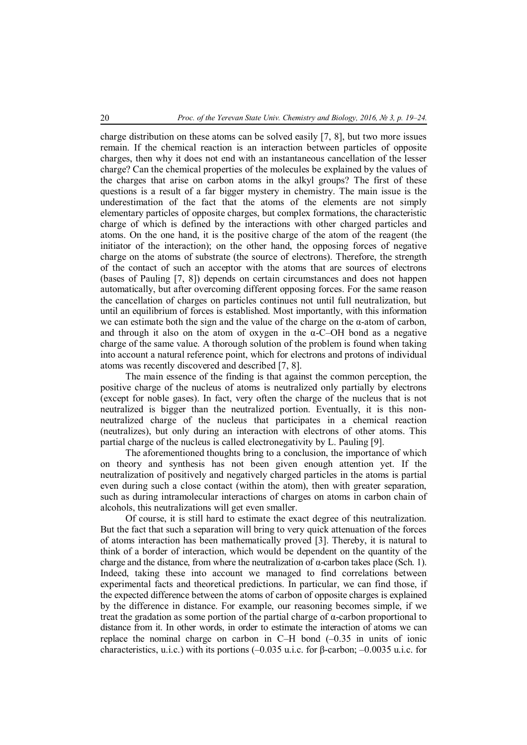charge distribution on these atoms can be solved easily [7, 8], but two more issues remain. If the chemical reaction is an interaction between particles of opposite charges, then why it does not end with an instantaneous cancellation of the lesser charge? Can the chemical properties of the molecules be explained by the values of the charges that arise on carbon atoms in the alkyl groups? The first of these questions is a result of a far bigger mystery in chemistry. The main issue is the underestimation of the fact that the atoms of the elements are not simply elementary particles of opposite charges, but complex formations, the characteristic charge of which is defined by the interactions with other charged particles and atoms. On the one hand, it is the positive charge of the atom of the reagent (the initiator of the interaction); on the other hand, the opposing forces of negative charge on the atoms of substrate (the source of electrons). Therefore, the strength of the contact of such an acceptor with the atoms that are sources of electrons (bases of Pauling [7, 8]) depends on certain circumstances and does not happen automatically, but after overcoming different opposing forces. For the same reason the cancellation of charges on particles continues not until full neutralization, but until an equilibrium of forces is established. Most importantly, with this information we can estimate both the sign and the value of the charge on the α-atom of carbon, and through it also on the atom of oxygen in the  $\alpha$ -C–OH bond as a negative charge of the same value. A thorough solution of the problem is found when taking into account a natural reference point, which for electrons and protons of individual atoms was recently discovered and described [7, 8].

The main essence of the finding is that against the common perception, the positive charge of the nucleus of atoms is neutralized only partially by electrons (except for noble gases). In fact, very often the charge of the nucleus that is not neutralized is bigger than the neutralized portion. Eventually, it is this nonneutralized charge of the nucleus that participates in a chemical reaction (neutralizes), but only during an interaction with electrons of other atoms. This partial charge of the nucleus is called electronegativity by L. Pauling [9].

The aforementioned thoughts bring to a conclusion, the importance of which on theory and synthesis has not been given enough attention yet. If the neutralization of positively and negatively charged particles in the atoms is partial even during such a close contact (within the atom), then with greater separation, such as during intramolecular interactions of charges on atoms in carbon chain of alcohols, this neutralizations will get even smaller.

Of course, it is still hard to estimate the exact degree of this neutralization. But the fact that such a separation will bring to very quick attenuation of the forces of atoms interaction has been mathematically proved [3]. Thereby, it is natural to think of a border of interaction, which would be dependent on the quantity of the charge and the distance, from where the neutralization of α-carbon takes place (Sch. 1). Indeed, taking these into account we managed to find correlations between experimental facts and theoretical predictions. In particular, we can find those, if the expected difference between the atoms of carbon of opposite charges is explained by the difference in distance. For example, our reasoning becomes simple, if we treat the gradation as some portion of the partial charge of α-carbon proportional to distance from it. In other words, in order to estimate the interaction of atoms we can replace the nominal charge on carbon in C–H bond (–0.35 in units of ionic characteristics, u.i.c.) with its portions (–0.035 u.i.c. for β-carbon; –0.0035 u.i.c. for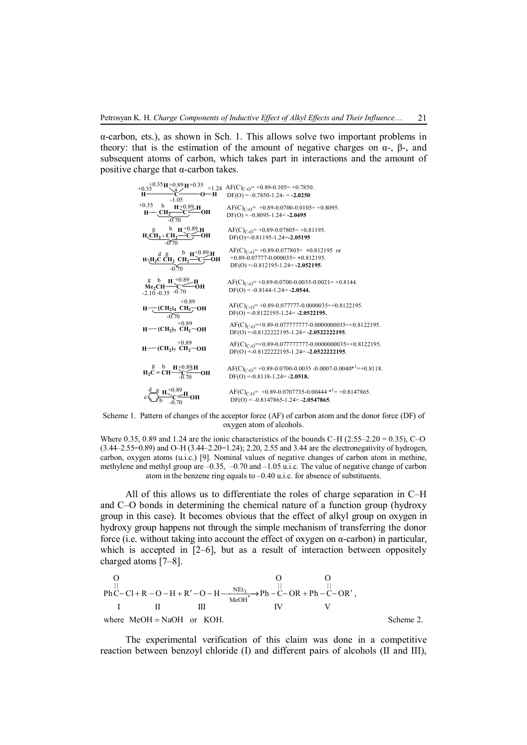α-carbon, ets.), as shown in Sch. 1. This allows solve two important problems in theory: that is the estimation of the amount of negative charges on  $\alpha$ -, β-, and subsequent atoms of carbon, which takes part in interactions and the amount of positive charge that α-carbon takes.

b +0.89 +1.24 -0.70 +0.89 **Me2CH C OH** b **H H** -0.35 g -2.10 AF(C)C-O= +0.89-0.0700-0.0035-0.0021= +0.8144. DF(О) = -0.8144-1.24= **-2.0544.** AF(C)C-O= +0.89-0.077777-0.0000035=+0.8122195. DF(О) =-0.8122195-1.24= **-2.0522195.** +0.89 **(CH<sup>2</sup> )<sup>7</sup> CH<sup>2</sup> OH** AF(C)C-O=+0.89-0.077777777-0.0000000035=+0.8122195. DF(О) =-0.8122222195-1.24= **-2.0522222195**. +0.89 **H (CH<sup>2</sup> ) H <sup>4</sup> CH<sup>2</sup> OH CH<sup>2</sup> C OH H H H** +0.35 g b +0.89 d AF(C)C-O= +0.89-0.077805= **+**0.812195 or +0.89-0.07777-0.000035= **+**0.812195. DF(О) =-0.812195-1.24= **-2.052195**. **H2C CH<sup>2</sup> CH<sup>2</sup> C OH H H H** g b +0.89 **CH<sup>2</sup> - CH<sup>2</sup> C OH H H H** AF(C)C-O= +0.89-0.07805= +0.81195. DF(О)=-0.81195-1.24=**-2.05195** -0.70 -0.70 -0.70 -0.70 **H C O H <sup>H</sup> <sup>H</sup>** <sup>a</sup> +0.35 +0.89 +0.35 +0.35 -1.05 AF(C)C-O= +0.89-0.105= +0.7850. DF(О) = -0.7850-1.24- = **-2.0250** AF(C)C-O= +0.89-0.0700-0.0105= +0.8095. DF(О) = -0.8095-1.24= **-2.0495** g b **H2C = CH C OH H**+0.89**H** -0.70 AF(C)C-O= +0.89-0.0700-0.0035 -0.0007-0.0040\* <sup>1</sup>=+0.8118. DF(О) =-0.8118-1.24= **-2.0518. (CH<sup>2</sup> )<sup>7</sup> CH<sup>2</sup> OH** AF(C)C-O=+0.89-0.077777777-0.0000000035=+0.8122195. DF(О) =-0.8122222195-1.24= **-2.0522222195**. +0.89 **H C OH H H** b g -0.70 d +0.89 e AF(C)C-O= +0.89-0.0707735-0.00444 \* <sup>1</sup>= +0.8147865. DF(О) = -0.8147865-1.24= **-2.0547865**.

Scheme 1. Pattern of changes of the acceptor force (AF) of carbon atom and the donor force (DF) of oxygen atom of alcohols.

Where 0.35, 0.89 and 1.24 are the ionic characteristics of the bounds C–H ( $2.55-2.20 = 0.35$ ), C–O (3.44–2.55=0.89) and O–H (3.44–2.20=1.24); 2.20, 2.55 and 3.44 are the electronegativity of hydrogen, carbon, oxygen atoms (u.i.c.) [9]. Nominal values of negative changes of carbon atom in methine, methylene and methyl group are –0.35, –0.70 and –1.05 u.i.c. The value of negative change of carbon atom in the benzene ring equals to –0.40 u.i.c. for absence of substituents.

All of this allows us to differentiate the roles of charge separation in C–H and C–O bonds in determining the chemical nature of a function group (hydroxy group in this case). It becomes obvious that the effect of alkyl group on oxygen in hydroxy group happens not through the simple mechanism of transferring the donor force (i.e. without taking into account the effect of oxygen on α-carbon) in particular, which is accepted in [2–6], but as a result of interaction between oppositely charged atoms [7–8].

| O                                                                         | O         |     |    |   |
|---------------------------------------------------------------------------|-----------|-----|----|---|
|                                                                           | O         | O   |    |   |
| PhC-CI+R-O-H+R'-O-H— $\frac{NEt_3}{MeOH^*} \rightarrow Ph-C-OR+Ph-C-OR',$ |           |     |    |   |
| I                                                                         | II        | III | IV | V |
| where MeOH = NaOH or KOH.                                                 | Scheme 2. |     |    |   |

The experimental verification of this claim was done in a competitive reaction between benzoyl chloride (I) and different pairs of alcohols (II and III),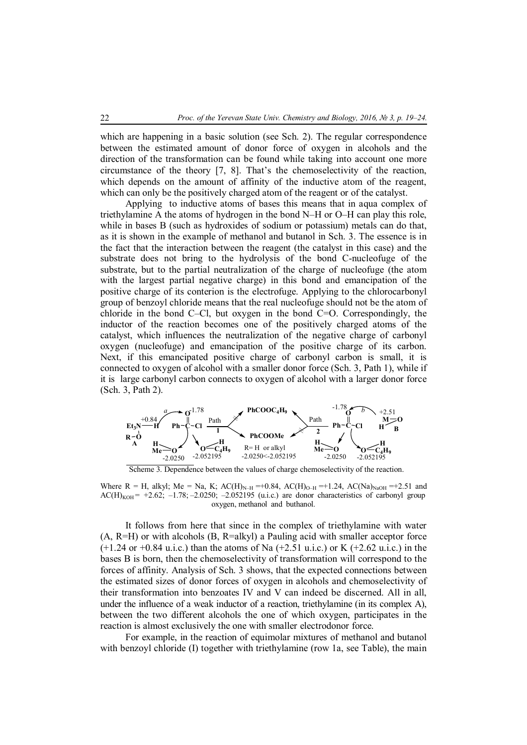which are happening in a basic solution (see Sch. 2). The regular correspondence between the estimated amount of donor force of oxygen in alcohols and the direction of the transformation can be found while taking into account one more circumstance of the theory [7, 8]. That's the chemoselectivity of the reaction, which depends on the amount of affinity of the inductive atom of the reagent, which can only be the positively charged atom of the reagent or of the catalyst.

Applying to inductive atoms of bases this means that in aqua complex of triethylamine A the atoms of hydrogen in the bond N–H or O–H can play this role, while in bases B (such as hydroxides of sodium or potassium) metals can do that, as it is shown in the example of methanol and butanol in Sch. 3. The essence is in the fact that the interaction between the reagent (the catalyst in this case) and the substrate does not bring to the hydrolysis of the bond C-nucleofuge of the substrate, but to the partial neutralization of the charge of nucleofuge (the atom with the largest partial negative charge) in this bond and emancipation of the positive charge of its conterion is the electrofuge. Applying to the chlorocarbonyl group of benzoyl chloride means that the real nucleofuge should not be the atom of chloride in the bond C–Cl, but oxygen in the bond C=O. Correspondingly, the inductor of the reaction becomes one of the positively charged atoms of the catalyst, which influences the neutralization of the negative charge of carbonyl oxygen (nucleofuge) and emancipation of the positive charge of its carbon. Next, if this emancipated positive charge of carbonyl carbon is small, it is connected to oxygen of alcohol with a smaller donor force (Sch. 3, Path 1), while if it is large carbonyl carbon connects to oxygen of alcohol with a larger donor force (Sch. 3, Path 2).



Scheme 3. Dependence between the values of charge chemoselectivity of the reaction.

Where R = H, alkyl; Me = Na, K; AC(H)<sub>N–H</sub> =+0.84, AC(H)<sub>O–H</sub> =+1.24, AC(Na)<sub>NaOH</sub> =+2.51 and  $AC(H)_{KOH}$  = +2.62; -1.78; -2.0250; -2.052195 (u.i.c.) are donor characteristics of carbonyl group oxygen, methanol and buthanol.

It follows from here that since in the complex of triethylamine with water  $(A, R=H)$  or with alcohols  $(B, R=a\,k$ yl) a Pauling acid with smaller acceptor force  $(+1.24 \text{ or } +0.84 \text{ u.i.c.})$  than the atoms of Na  $(+2.51 \text{ u.i.c.})$  or K  $(+2.62 \text{ u.i.c.})$  in the bases B is born, then the chemoselectivity of transformation will correspond to the forces of affinity. Analysis of Sch. 3 shows, that the expected connections between the estimated sizes of donor forces of oxygen in alcohols and chemoselectivity of their transformation into benzoates IV and V can indeed be discerned. All in all, under the influence of a weak inductor of a reaction, triethylamine (in its complex A), between the two different alcohols the one of which oxygen, participates in the reaction is almost exclusively the one with smaller electrodonor force.

For example, in the reaction of equimolar mixtures of methanol and butanol with benzoyl chloride (I) together with triethylamine (row 1a, see Table), the main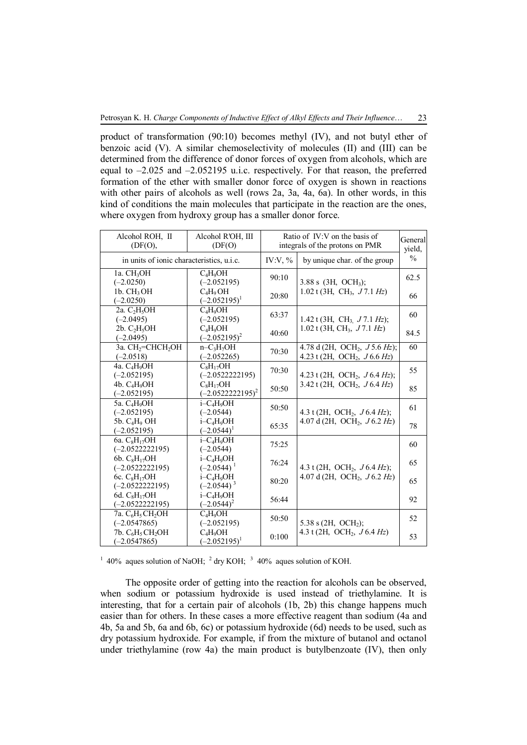product of transformation (90:10) becomes methyl (IV), and not butyl ether of benzoic acid (V). A similar chemoselectivity of molecules (II) and (III) can be determined from the difference of donor forces of oxygen from alcohols, which are equal to –2.025 and –2.052195 u.i.c. respectively. For that reason, the preferred formation of the ether with smaller donor force of oxygen is shown in reactions with other pairs of alcohols as well (rows 2a, 3a, 4a, 6a). In other words, in this kind of conditions the main molecules that participate in the reaction are the ones, where oxygen from hydroxy group has a smaller donor force.

| Alcohol ROH, II<br>(DF(O),                                             | Alcohol R'OH, III<br>(DF(O)                       | Ratio of $IV:V$ on the basis of<br>integrals of the protons on PMR |                                                                                           | General<br>yield. |
|------------------------------------------------------------------------|---------------------------------------------------|--------------------------------------------------------------------|-------------------------------------------------------------------------------------------|-------------------|
| in units of ionic characteristics, u.i.c.                              |                                                   | IV:V, $%$                                                          | by unique char. of the group                                                              | $\frac{0}{0}$     |
| 1a. CH <sub>3</sub> OH<br>$(-2.0250)$                                  | $C_4H_9OH$<br>$(-2.052195)$                       | 90:10                                                              | $3.88 s$ (3H, OCH <sub>3</sub> );                                                         | 62.5              |
| 1b. CH <sub>3</sub> OH<br>$(-2.0250)$                                  | $C_4H_9OH$<br>$(-2.052195)^{1}$                   | 20:80                                                              | 1.02 t (3H, CH <sub>3</sub> , $J7.1$ Hz)                                                  | 66                |
| 2a. $C_2H_5OH$<br>$(-2.0495)$                                          | $C_4H_9OH$<br>$(-2.052195)$                       | 63:37                                                              | 1.42 t (3H, CH <sub>3</sub> $J$ 7.1 Hz);                                                  | 60                |
| 2b. $C_2H_5OH$<br>$(-2.0495)$                                          | $C_4H_9OH$<br>$(-2.052195)^2$                     | 40:60                                                              | 1.02 t (3H, CH <sub>3</sub> , $J7.1$ Hz)                                                  | 84.5              |
| 3a. $CH_2=CHCH_2OH$<br>$(-2.0518)$                                     | $n-C3H7OH$<br>$(-2.052265)$                       | 70:30                                                              | 4.78 d (2H, OCH <sub>2</sub> , $J$ 5.6 Hz);<br>4.23 t (2H, OCH <sub>2</sub> , $J$ 6.6 Hz) | 60                |
| 4a. C <sub>4</sub> H <sub>9</sub> OH<br>$(-2.052195)$                  | $C_8H_{17}OH$<br>$(-2.0522222195)$                | 70:30                                                              | 4.23 t (2H, OCH <sub>2</sub> , $J$ 6.4 Hz);<br>3.42 t (2H, OCH <sub>2</sub> , $J$ 6.4 Hz) | 55                |
| 4b. C <sub>4</sub> H <sub>9</sub> OH<br>$(-2.052195)$                  | $C_8H_{17}OH$<br>$(-2.0522222195)^2$              | 50:50                                                              |                                                                                           | 85                |
| 5a. C <sub>4</sub> H <sub>o</sub> OH<br>$(-2.052195)$                  | i-C <sub>4</sub> H <sub>o</sub> OH<br>$(-2.0544)$ | 50:50                                                              | 4.3 t (2H, OCH <sub>2</sub> , $J$ 6.4 Hz);<br>4.07 d (2H, OCH <sub>2</sub> , $J$ 6.2 Hz)  | 61                |
| 5b. $C_4H_9$ OH<br>$(-2.052195)$                                       | $i - C_4H_9OH$<br>$(-2.0544)^1$                   | 65:35                                                              |                                                                                           | 78                |
| 6a. $C_8H_{17}OH$<br>$(-2.0522222195)$                                 | $i - C_4H_9OH$<br>$(-2.0544)$                     | 75:25                                                              | 4.3 t (2H, OCH <sub>2</sub> , $J$ 6.4 Hz);<br>4.07 d (2H, OCH <sub>2</sub> , $J$ 6.2 Hz)  | 60                |
| 6b. $C_8H_{17}OH$<br>$(-2.0522222195)$                                 | $i - C_4H_9OH$<br>$(-2.0544)^1$                   | 76:24                                                              |                                                                                           | 65                |
| 6c. $C_8H_{17}OH$<br>$(-2.0522222195)$                                 | $i - C_4H_9OH$<br>$(-2.0544)^3$                   | 80:20                                                              |                                                                                           | 65                |
| 6d. $C_8H_{17}OH$<br>$(-2.0522222195)$                                 | $i - C_4H_9OH$<br>$(-2.0544)^2$                   | 56:44                                                              |                                                                                           | 92                |
| 7a. C <sub>6</sub> H <sub>5</sub> CH <sub>2</sub> OH<br>$(-2.0547865)$ | $C_4H_9OH$<br>$(-2.052195)$                       | 50:50                                                              | 5.38 s (2H, OCH <sub>2</sub> );<br>4.3 t (2H, OCH <sub>2</sub> , $J$ 6.4 Hz)              | 52                |
| 7b. $C_6H_5CH_2OH$<br>$(-2.0547865)$                                   | $C_4H_9OH$<br>$(-2.052195)^1$                     | 0:100                                                              |                                                                                           | 53                |

<sup>1</sup> 40% aques solution of NaOH; <sup>2</sup> dry KOH; <sup>3</sup> 40% aques solution of KOH.

The opposite order of getting into the reaction for alcohols can be observed, when sodium or potassium hydroxide is used instead of triethylamine. It is interesting, that for a certain pair of alcohols (1b, 2b) this change happens much easier than for others. In these cases a more effective reagent than sodium (4a and 4b, 5a and 5b, 6a and 6b, 6c) or potassium hydroxide (6d) needs to be used, such as dry potassium hydroxide. For example, if from the mixture of butanol and octanol under triethylamine (row 4a) the main product is butylbenzoate (IV), then only